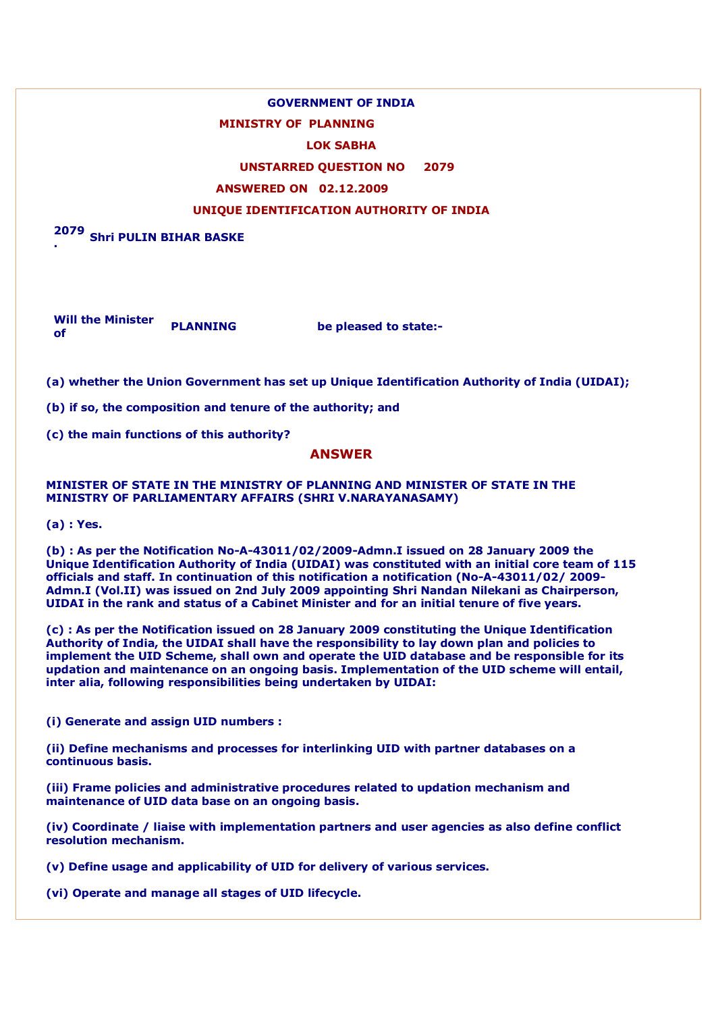# **GOVERNMENT OF INDIA**

# **MINISTRY OF PLANNING**

#### **LOK SABHA**

## **UNSTARRED QUESTION NO 2079**

#### **ANSWERED ON 02.12.2009**

# **UNIQUE IDENTIFICATION AUTHORITY OF INDIA**

**2079 . Shri PULIN BIHAR BASKE**

**Will the Minister of PLANNING be pleased to state:-**

**(a) whether the Union Government has set up Unique Identification Authority of India (UIDAI);**

**(b) if so, the composition and tenure of the authority; and**

**(c) the main functions of this authority?**

# **ANSWER**

**MINISTER OF STATE IN THE MINISTRY OF PLANNING AND MINISTER OF STATE IN THE MINISTRY OF PARLIAMENTARY AFFAIRS (SHRI V.NARAYANASAMY)**

**(a) : Yes.**

**(b) : As per the Notification No-A-43011/02/2009-Admn.I issued on 28 January 2009 the Unique Identification Authority of India (UIDAI) was constituted with an initial core team of 115 officials and staff. In continuation of this notification a notification (No-A-43011/02/ 2009- Admn.I (Vol.II) was issued on 2nd July 2009 appointing Shri Nandan Nilekani as Chairperson, UIDAI in the rank and status of a Cabinet Minister and for an initial tenure of five years.**

**(c) : As per the Notification issued on 28 January 2009 constituting the Unique Identification Authority of India, the UIDAI shall have the responsibility to lay down plan and policies to implement the UID Scheme, shall own and operate the UID database and be responsible for its updation and maintenance on an ongoing basis. Implementation of the UID scheme will entail, inter alia, following responsibilities being undertaken by UIDAI:**

**(i) Generate and assign UID numbers :**

**(ii) Define mechanisms and processes for interlinking UID with partner databases on a continuous basis.**

**(iii) Frame policies and administrative procedures related to updation mechanism and maintenance of UID data base on an ongoing basis.**

**(iv) Coordinate / liaise with implementation partners and user agencies as also define conflict resolution mechanism.**

**(v) Define usage and applicability of UID for delivery of various services.**

**(vi) Operate and manage all stages of UID lifecycle.**